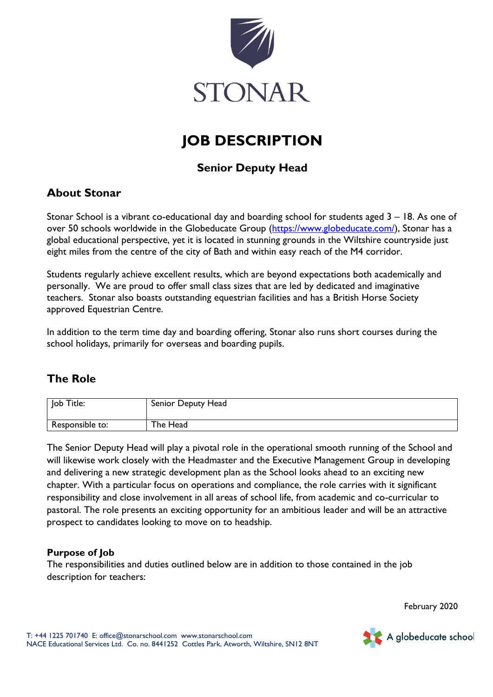

# **JOB DESCRIPTION**

## **Senior Deputy Head**

## **About Stonar**

Stonar School is a vibrant co-educational day and boarding school for students aged 3 – 18. As one of over 50 schools worldwide in the Globeducate Group [\(https://www.globeducate.com/\)](https://www.globeducate.com/), Stonar has a global educational perspective, yet it is located in stunning grounds in the Wiltshire countryside just eight miles from the centre of the city of Bath and within easy reach of the M4 corridor.

Students regularly achieve excellent results, which are beyond expectations both academically and personally. We are proud to offer small class sizes that are led by dedicated and imaginative teachers. Stonar also boasts outstanding equestrian facilities and has a British Horse Society approved Equestrian Centre.

In addition to the term time day and boarding offering, Stonar also runs short courses during the school holidays, primarily for overseas and boarding pupils.

## **The Role**

| Job Title:      | Senior Deputy Head |
|-----------------|--------------------|
| Responsible to: | The Head           |

The Senior Deputy Head will play a pivotal role in the operational smooth running of the School and will likewise work closely with the Headmaster and the Executive Management Group in developing and delivering a new strategic development plan as the School looks ahead to an exciting new chapter. With a particular focus on operations and compliance, the role carries with it significant responsibility and close involvement in all areas of school life, from academic and co-curricular to pastoral. The role presents an exciting opportunity for an ambitious leader and will be an attractive prospect to candidates looking to move on to headship.

#### **Purpose of Job**

The responsibilities and duties outlined below are in addition to those contained in the job description for teachers:

February 2020

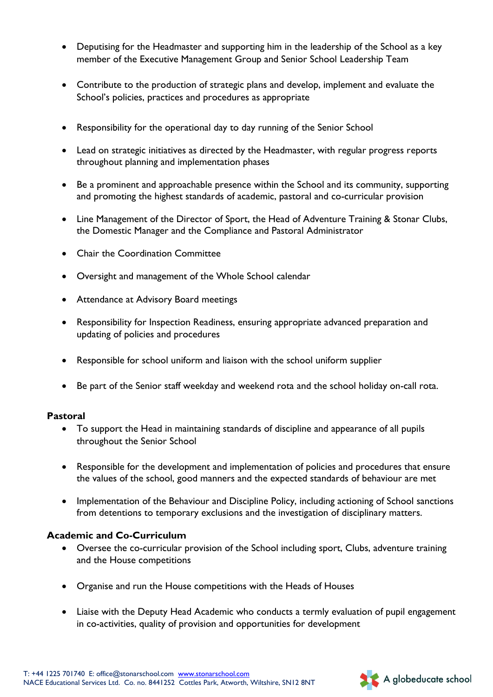- Deputising for the Headmaster and supporting him in the leadership of the School as a key member of the Executive Management Group and Senior School Leadership Team
- Contribute to the production of strategic plans and develop, implement and evaluate the School's policies, practices and procedures as appropriate
- Responsibility for the operational day to day running of the Senior School
- Lead on strategic initiatives as directed by the Headmaster, with regular progress reports throughout planning and implementation phases
- Be a prominent and approachable presence within the School and its community, supporting and promoting the highest standards of academic, pastoral and co-curricular provision
- Line Management of the Director of Sport, the Head of Adventure Training & Stonar Clubs, the Domestic Manager and the Compliance and Pastoral Administrator
- Chair the Coordination Committee
- Oversight and management of the Whole School calendar
- Attendance at Advisory Board meetings
- Responsibility for Inspection Readiness, ensuring appropriate advanced preparation and updating of policies and procedures
- Responsible for school uniform and liaison with the school uniform supplier
- Be part of the Senior staff weekday and weekend rota and the school holiday on-call rota.

#### **Pastoral**

- To support the Head in maintaining standards of discipline and appearance of all pupils throughout the Senior School
- Responsible for the development and implementation of policies and procedures that ensure the values of the school, good manners and the expected standards of behaviour are met
- Implementation of the Behaviour and Discipline Policy, including actioning of School sanctions from detentions to temporary exclusions and the investigation of disciplinary matters.

#### **Academic and Co-Curriculum**

- Oversee the co-curricular provision of the School including sport, Clubs, adventure training and the House competitions
- Organise and run the House competitions with the Heads of Houses
- Liaise with the Deputy Head Academic who conducts a termly evaluation of pupil engagement in co-activities, quality of provision and opportunities for development

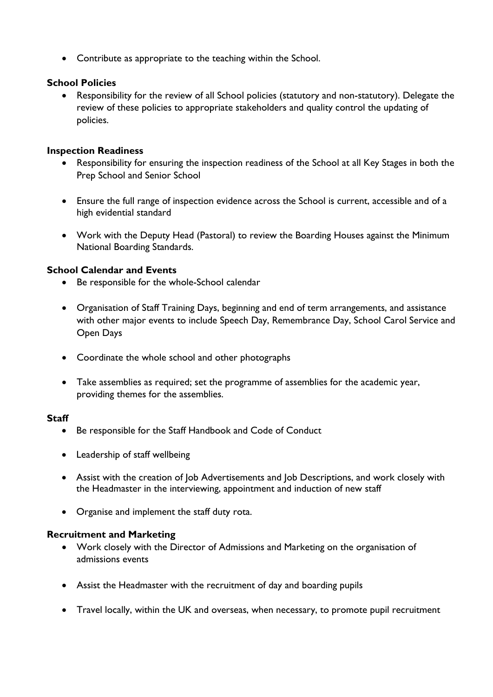Contribute as appropriate to the teaching within the School.

#### **School Policies**

 Responsibility for the review of all School policies (statutory and non-statutory). Delegate the review of these policies to appropriate stakeholders and quality control the updating of policies.

#### **Inspection Readiness**

- Responsibility for ensuring the inspection readiness of the School at all Key Stages in both the Prep School and Senior School
- Ensure the full range of inspection evidence across the School is current, accessible and of a high evidential standard
- Work with the Deputy Head (Pastoral) to review the Boarding Houses against the Minimum National Boarding Standards.

### **School Calendar and Events**

- Be responsible for the whole-School calendar
- Organisation of Staff Training Days, beginning and end of term arrangements, and assistance with other major events to include Speech Day, Remembrance Day, School Carol Service and Open Days
- Coordinate the whole school and other photographs
- Take assemblies as required; set the programme of assemblies for the academic year, providing themes for the assemblies.

#### **Staff**

- Be responsible for the Staff Handbook and Code of Conduct
- Leadership of staff wellbeing
- Assist with the creation of Job Advertisements and Job Descriptions, and work closely with the Headmaster in the interviewing, appointment and induction of new staff
- Organise and implement the staff duty rota.

#### **Recruitment and Marketing**

- Work closely with the Director of Admissions and Marketing on the organisation of admissions events
- Assist the Headmaster with the recruitment of day and boarding pupils
- Travel locally, within the UK and overseas, when necessary, to promote pupil recruitment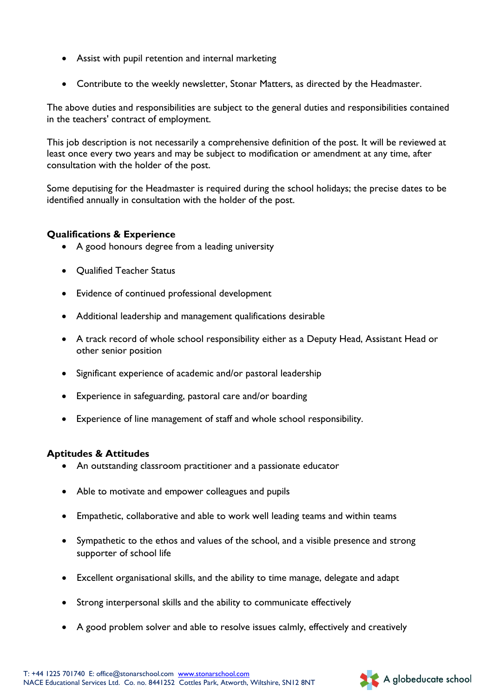- Assist with pupil retention and internal marketing
- Contribute to the weekly newsletter, Stonar Matters, as directed by the Headmaster.

The above duties and responsibilities are subject to the general duties and responsibilities contained in the teachers' contract of employment.

This job description is not necessarily a comprehensive definition of the post. It will be reviewed at least once every two years and may be subject to modification or amendment at any time, after consultation with the holder of the post.

Some deputising for the Headmaster is required during the school holidays; the precise dates to be identified annually in consultation with the holder of the post.

#### **Qualifications & Experience**

- A good honours degree from a leading university
- Qualified Teacher Status
- Evidence of continued professional development
- Additional leadership and management qualifications desirable
- A track record of whole school responsibility either as a Deputy Head, Assistant Head or other senior position
- Significant experience of academic and/or pastoral leadership
- Experience in safeguarding, pastoral care and/or boarding
- Experience of line management of staff and whole school responsibility.

#### **Aptitudes & Attitudes**

- An outstanding classroom practitioner and a passionate educator
- Able to motivate and empower colleagues and pupils
- Empathetic, collaborative and able to work well leading teams and within teams
- Sympathetic to the ethos and values of the school, and a visible presence and strong supporter of school life
- Excellent organisational skills, and the ability to time manage, delegate and adapt
- Strong interpersonal skills and the ability to communicate effectively
- A good problem solver and able to resolve issues calmly, effectively and creatively